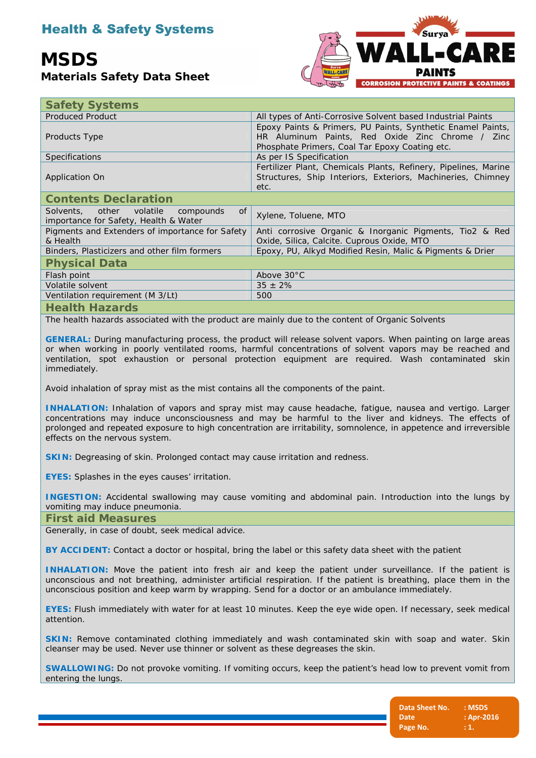# Health & Safety Systems

# **MSDS**

**Materials Safety Data Sheet**



| <b>Safety Systems</b>                                                                |                                                                                                                                                                   |  |
|--------------------------------------------------------------------------------------|-------------------------------------------------------------------------------------------------------------------------------------------------------------------|--|
| <b>Produced Product</b>                                                              | All types of Anti-Corrosive Solvent based Industrial Paints                                                                                                       |  |
| Products Type                                                                        | Epoxy Paints & Primers, PU Paints, Synthetic Enamel Paints,<br>HR Aluminum Paints, Red Oxide Zinc Chrome / Zinc<br>Phosphate Primers, Coal Tar Epoxy Coating etc. |  |
| <b>Specifications</b>                                                                | As per IS Specification                                                                                                                                           |  |
| <b>Application On</b>                                                                | Fertilizer Plant, Chemicals Plants, Refinery, Pipelines, Marine<br>Structures, Ship Interiors, Exteriors, Machineries, Chimney<br>etc.                            |  |
| <b>Contents Declaration</b>                                                          |                                                                                                                                                                   |  |
| of<br>Solvents, other volatile<br>compounds<br>importance for Safety, Health & Water | Xylene, Toluene, MTO                                                                                                                                              |  |
| Pigments and Extenders of importance for Safety<br>& Health                          | Anti corrosive Organic & Inorganic Pigments, Tio2 & Red<br>Oxide, Silica, Calcite. Cuprous Oxide, MTO                                                             |  |
| Binders, Plasticizers and other film formers                                         | Epoxy, PU, Alkyd Modified Resin, Malic & Pigments & Drier                                                                                                         |  |
| <b>Physical Data</b>                                                                 |                                                                                                                                                                   |  |
| Flash point                                                                          | Above 30°C                                                                                                                                                        |  |
| Volatile solvent                                                                     | $35 \pm 2\%$                                                                                                                                                      |  |
| Ventilation requirement (M 3/Lt)                                                     | 500                                                                                                                                                               |  |
| المواجد والملتا ومال                                                                 |                                                                                                                                                                   |  |

**Health Hazards**

The health hazards associated with the product are mainly due to the content of Organic Solvents

**GENERAL:** During manufacturing process, the product will release solvent vapors. When painting on large areas or when working in poorly ventilated rooms, harmful concentrations of solvent vapors may be reached and ventilation, spot exhaustion or personal protection equipment are required. Wash contaminated skin immediately.

Avoid inhalation of spray mist as the mist contains all the components of the paint.

**INHALATION:** Inhalation of vapors and spray mist may cause headache, fatigue, nausea and vertigo. Larger concentrations may induce unconsciousness and may be harmful to the liver and kidneys. The effects of prolonged and repeated exposure to high concentration are irritability, somnolence, in appetence and irreversible effects on the nervous system.

**SKIN:** Degreasing of skin. Prolonged contact may cause irritation and redness.

**EYES:** Splashes in the eyes causes' irritation.

**INGESTION:** Accidental swallowing may cause vomiting and abdominal pain. Introduction into the lungs by vomiting may induce pneumonia.

**First aid Measures**

Generally, in case of doubt, seek medical advice.

**BY ACCIDENT:** Contact a doctor or hospital, bring the label or this safety data sheet with the patient

**INHALATION:** Move the patient into fresh air and keep the patient under surveillance. If the patient is unconscious and not breathing, administer artificial respiration. If the patient is breathing, place them in the unconscious position and keep warm by wrapping. Send for a doctor or an ambulance immediately.

**EYES:** Flush immediately with water for at least 10 minutes. Keep the eye wide open. If necessary, seek medical attention.

**SKIN:** Remove contaminated clothing immediately and wash contaminated skin with soap and water. Skin cleanser may be used. Never use thinner or solvent as these degreases the skin.

**SWALLOWING:** Do not provoke vomiting. If vomiting occurs, keep the patient's head low to prevent vomit from entering the lungs.

| Data Sheet No. | : MSDS     |
|----------------|------------|
| Date           | : Apr-2016 |
| Page No.       | : 1.       |